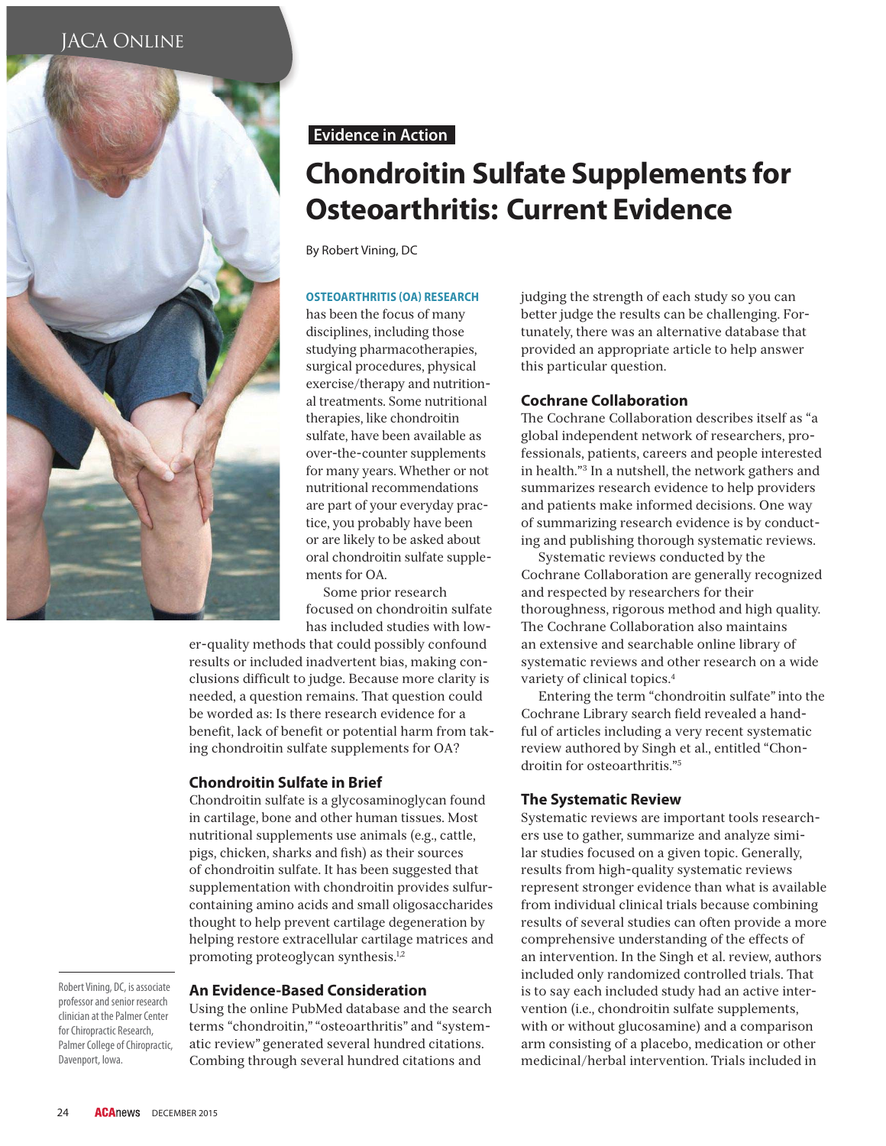

## **Evidence in Action**

# **Chondroitin Sulfate Supplements for Osteoarthritis: Current Evidence**

By Robert Vining, DC

#### **OSTEOARTHRITIS (OA) RESEARCH**

has been the focus of many disciplines, including those studying pharmacotherapies, surgical procedures, physical exercise/therapy and nutritional treatments. Some nutritional therapies, like chondroitin sulfate, have been available as over-the-counter supplements for many years. Whether or not nutritional recommendations are part of your everyday practice, you probably have been or are likely to be asked about oral chondroitin sulfate supplements for OA.

Some prior research focused on chondroitin sulfate has included studies with low-

er-quality methods that could possibly confound results or included inadvertent bias, making conclusions difficult to judge. Because more clarity is needed, a question remains. That question could be worded as: Is there research evidence for a benefit, lack of benefit or potential harm from taking chondroitin sulfate supplements for OA?

### **Chondroitin Sulfate in Brief**

Chondroitin sulfate is a glycosaminoglycan found in cartilage, bone and other human tissues. Most nutritional supplements use animals (e.g., cattle, pigs, chicken, sharks and fish) as their sources of chondroitin sulfate. It has been suggested that supplementation with chondroitin provides sulfurcontaining amino acids and small oligosaccharides thought to help prevent cartilage degeneration by helping restore extracellular cartilage matrices and promoting proteoglycan synthesis.<sup>1,2</sup>

Robert Vining, DC, is associate professor and senior research clinician at the Palmer Center for Chiropractic Research, Palmer College of Chiropractic, Davenport, Iowa.

### **An Evidence-Based Consideration**

Using the online PubMed database and the search terms "chondroitin," "osteoarthritis" and "systematic review" generated several hundred citations. Combing through several hundred citations and

judging the strength of each study so you can better judge the results can be challenging. Fortunately, there was an alternative database that provided an appropriate article to help answer this particular question.

#### **Cochrane Collaboration**

The Cochrane Collaboration describes itself as "a global independent network of researchers, professionals, patients, careers and people interested in health."3 In a nutshell, the network gathers and summarizes research evidence to help providers and patients make informed decisions. One way of summarizing research evidence is by conducting and publishing thorough systematic reviews.

Systematic reviews conducted by the Cochrane Collaboration are generally recognized and respected by researchers for their thoroughness, rigorous method and high quality. The Cochrane Collaboration also maintains an extensive and searchable online library of systematic reviews and other research on a wide variety of clinical topics.4

Entering the term "chondroitin sulfate" into the Cochrane Library search field revealed a handful of articles including a very recent systematic review authored by Singh et al., entitled "Chondroitin for osteoarthritis."5

### **The Systematic Review**

Systematic reviews are important tools researchers use to gather, summarize and analyze similar studies focused on a given topic. Generally, results from high-quality systematic reviews represent stronger evidence than what is available from individual clinical trials because combining results of several studies can often provide a more comprehensive understanding of the effects of an intervention. In the Singh et al. review, authors included only randomized controlled trials. That is to say each included study had an active intervention (i.e., chondroitin sulfate supplements, with or without glucosamine) and a comparison arm consisting of a placebo, medication or other medicinal/herbal intervention. Trials included in